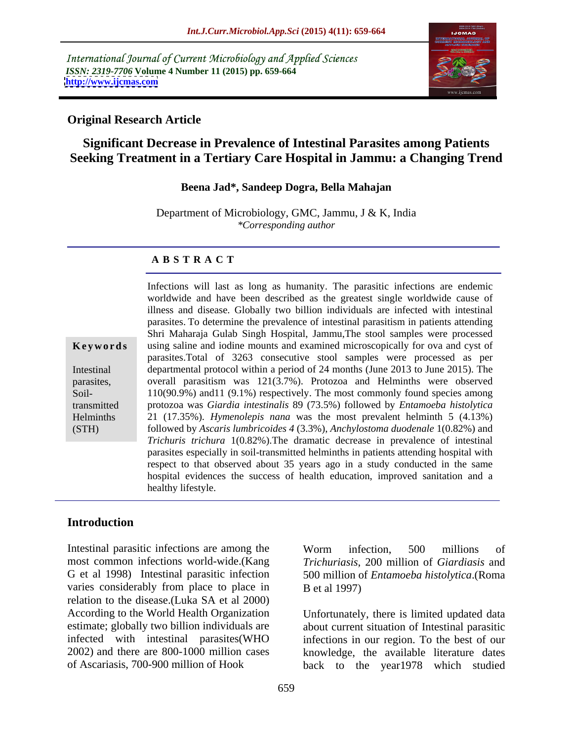International Journal of Current Microbiology and Applied Sciences *ISSN: 2319-7706* **Volume 4 Number 11 (2015) pp. 659-664 <http://www.ijcmas.com>**



## **Original Research Article**

# **Significant Decrease in Prevalence of Intestinal Parasites among Patients Seeking Treatment in a Tertiary Care Hospital in Jammu: a Changing Trend**

### **Beena Jad\*, Sandeep Dogra, Bella Mahajan**

Department of Microbiology, GMC, Jammu, J & K, India *\*Corresponding author*

### **A B S T R A C T**

Soil-(STH)

worldwide and have been described as the greatest single worldwide cause of illness and disease. Globally two billion individuals are infected with intestinal parasites. To determine the prevalence of intestinal parasitism in patients attending Shri Maharaja Gulab Singh Hospital, Jammu,The stool samples were processed **Keywords** using saline and iodine mounts and examined microscopically for ova and cyst of parasites.Total of 3263 consecutive stool samples were processed as per Intestinal departmental protocol within a period of 24 months (June 2013 to June 2015). The overall parasitism was 121(3.7%). Protozoa and Helminths were observed parasites, 110(90.9%) and11 (9.1%) respectively. The most commonly found species among protozoa was *Giardia intestinalis* 89 (73.5%) followed by *Entamoeba histolytica* transmitted Helminths 21 (17.35%). *Hymenolepis nana* was the most prevalent helminth 5 (4.13%) followed by *Ascaris lumbricoides 4* (3.3%), *Anchylostoma duodenale* 1(0.82%) and *Trichuris trichura* 1(0.82%).The dramatic decrease in prevalence of intestinal parasites especially in soil-transmitted helminths in patients attending hospital with respect to that observed about 35 years ago in a study conducted in the same hospital evidences the success of health education, improved sanitation and a healthy lifestyle.

Infections will last as long as humanity. The parasitic infections are endemic

### **Introduction**

Intestinal parasitic infections are among the Worm infection, 500 millions of most common infections world-wide.(Kang *Trichuriasis*, 200 million of *Giardiasis* and G et al 1998) Intestinal parasitic infection 500 million of *Entamoeba histolytica*.(Roma varies considerably from place to place in B et al 1997) relation to the disease.(Luka SA et al 2000) According to the World Health Organization Unfortunately, there is limited updated data estimate; globally two billion individuals are infected with intestinal parasites(WHO infections in our region. To the best of our 2002) and there are 800-1000 million cases knowledge, the available literature dates

Worm infection, 500 millions of B et al 1997)

of Ascariasis, 700-900 million of Hook back to the year1978 which studied about current situation of Intestinal parasitic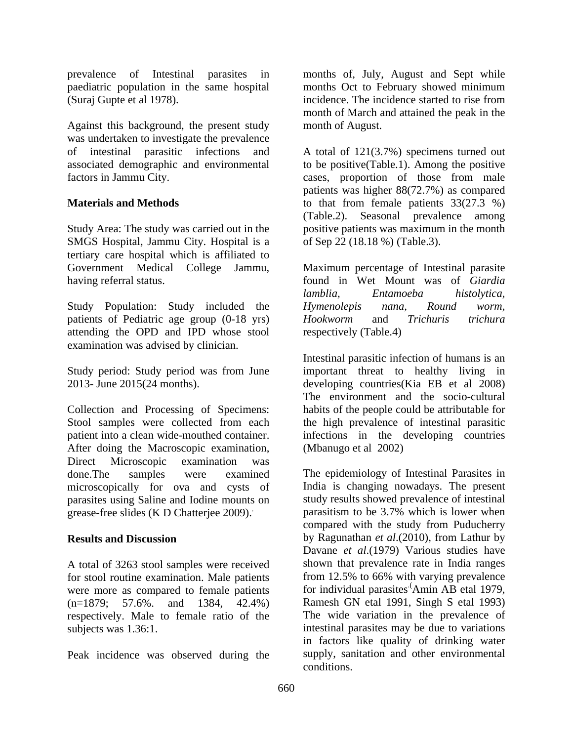(Suraj Gupte et al 1978).

Against this background, the present study was undertaken to investigate the prevalence

Study Area: The study was carried out in the SMGS Hospital, Jammu City. Hospital is a tertiary care hospital which is affiliated to Government Medical College Jammu, Maximum percentage of Intestinal parasite having referral status. found in Wet Mount was of *Giardia* 

Study Population: Study included the *Hymenolepis nana*, Round worm, patients of Pediatric age group (0-18 yrs) Hookworm and Trichuris trichura attending the OPD and IPD whose stool examination was advised by clinician.

Collection and Processing of Specimens: After doing the Macroscopic examination, Direct Microscopic examination was microscopically for ova and cysts of parasites using Saline and Iodine mounts on

A total of 3263 stool samples were received were more as compared to female patients respectively. Male to female ratio of the

Peak incidence was observed during the

prevalence of Intestinal parasites in months of, July, August and Sept while paediatric population in the same hospital months Oct to February showed minimum incidence. The incidence started to rise from month of March and attained the peak in the month of August.

of intestinal parasitic infections and A total of 121(3.7%) specimens turned out associated demographic and environmental to be positive(Table.1). Among the positive factors in Jammu City. cases, proportion of those from male **Materials and Methods** to that from female patients 33(27.3 %) patients was higher 88(72.7%) as compared to that from female patients 33(27.3 %) (Table.2). Seasonal prevalence among positive patients was maximum in the month of Sep 22 (18.18 %) (Table.3).

> *lamblia, Entamoeba histolytica, Hymenolepis nana, Round worm, Hookworm* and *Trichuris trichura* respectively (Table.4)

Study period: Study period was from June important threat to healthy living in 2013- June 2015(24 months). developing countries(Kia EB et al 2008) Stool samples were collected from each the high prevalence of intestinal parasitic patient into a clean wide-mouthed container. infections in the developing countries Intestinal parasitic infection of humans is an The environment and the socio-cultural habits of the people could be attributable for (Mbanugo et al 2002)

done.The samples were examined The epidemiology of Intestinal Parasites in grease-free slides (K D Chatterjee 2009). parasitism to be 3.7% which is lower when **Results and Discussion** by Ragunathan *et al*.(2010), from Lathur by for stool routine examination. Male patients from 12.5% to 66% with varying prevalence (n=1879; 57.6%. and 1384, 42.4%) Ramesh GN etal 1991, Singh S etal 1993) subjects was 1.36:1. intestinal parasites may be due to variations India is changing nowadays. The present study results showed prevalence of intestinal compared with the study from Puducherry Davane *et al*.(1979) Various studies have shown that prevalence rate in India ranges for individual parasites Amin AB etal 1979, .(Amin AB etal 1979, The wide variation in the prevalence of in factors like quality of drinking water supply, sanitation and other environmental conditions.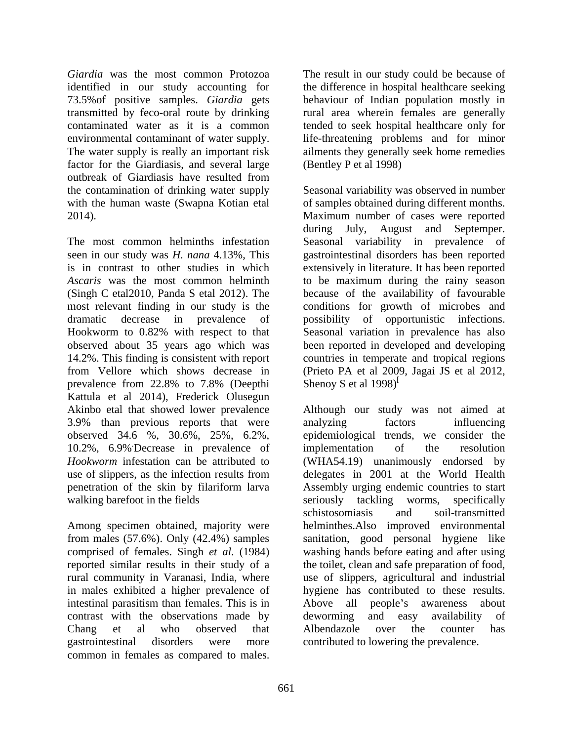*Giardia* was the most common Protozoa **The result in our study could be because of** identified in our study accounting for the difference in hospital healthcare seeking 73.5%of positive samples. *Giardia* gets behaviour of Indian population mostly in transmitted by feco-oral route by drinking rural area wherein females are generally contaminated water as it is a common tended to seek hospital healthcare only for environmental contaminant of water supply. life-threatening problems and for minor The water supply is really an important risk ailments they generally seek home remedies factor for the Giardiasis, and several large outbreak of Giardiasis have resulted from with the human waste (Swapna Kotian etal

from Vellore which shows decrease in (Prieto PA et al 2009, Jagai JS et al 2012, Kattula et al 2014), Frederick Olusegun Akinbo etal that showed lower prevalence 3.9% than previous reports that were analyzing factors influencing walking barefoot in the fields seriously tackling worms, specifically Given the most common Protozon The mean is compared to male yields because of the result in our study accounting for the forference in loopel and be a compared to the result in the result of the result in our study could

in males exhibited a higher prevalence of intestinal parasitism than females. This is in Above all people's awareness about contrast with the observations made by deworming and easy availability of gastrointestinal disorders were more contributed to lowering the prevalence.

(Bentley P et al 1998)

the contamination of drinking water supply Seasonal variability was observed in number 2014). Maximum number of cases were reported The most common helminths infestation Seasonal variability in prevalence of seen in our study was *H. nana* 4.13%, This gastrointestinal disorders has been reported is in contrast to other studies in which extensively in literature. It has been reported Ascaris was the most common helminth to be maximum during the rainy season (Singh C etal2010, Panda S etal 2012). The because of the availability of favourable most relevant finding in our study is the conditions for growth of microbes and dramatic decrease in prevalence of Hookworm to 0.82% with respect to that Seasonal variation in prevalence has also observed about 35 years ago which was been reported in developed and developing 14.2%. This finding is consistent with report countries in temperate and tropical regions prevalence from 22.8% to 7.8% (Deepthi Shenoy S et al  $1998$ )<sup>l</sup> of samples obtained during different months. during July, August and Septemper. possibility of opportunistic infections. (Prieto PA et al 2009, Jagai JS et al 2012, Shenoy S et al 1998)<sup>[</sup>

observed 34.6 %, 30.6%, 25%, 6.2%, epidemiological trends, we consider the 10.2%, 6.9% .Decrease in prevalence of *Hookworm* infestation can be attributed to (WHA54.19) unanimously endorsed by use of slippers, as the infection results from delegates in 2001 at the World Health penetration of the skin by filariform larva Assembly urging endemic countries to start Among specimen obtained, majority were helminthes.Also improved environmental from males (57.6%). Only (42.4%) samples sanitation, good personal hygiene like comprised of females. Singh *et al*. (1984) washing hands before eating and afterusing reported similar results in their study of a the toilet, clean and safe preparation of food, rural community in Varanasi, India, where use of slippers, agricultural and industrial Chang et al who observed that Although our study was not aimed at analyzing factors influencing implementation of the resolution seriously tackling worms, specifically schistosomiasis and soil-transmitted hygiene has contributed to these results. Above all people's awareness about deworming and easy availability of Albendazole over the counter has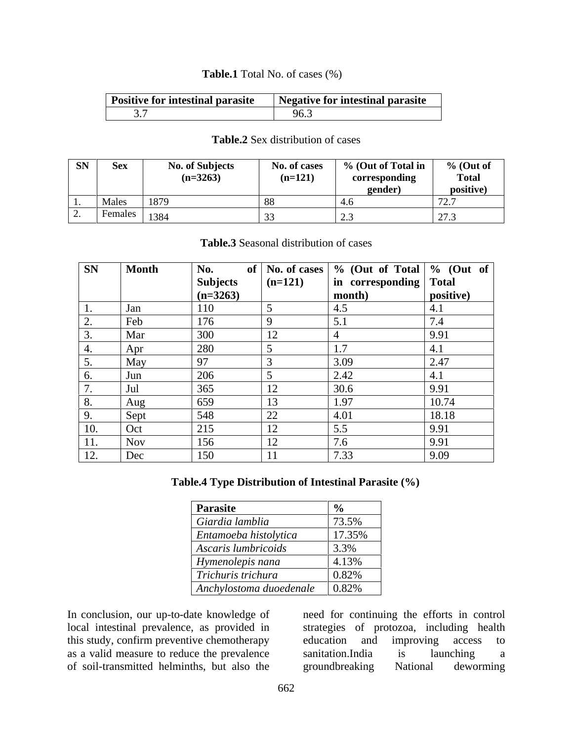### **Table.1** Total No. of cases (%)

## **Table.2** Sex distribution of cases

| <b>SN</b> | <b>Sex</b>                          | <b>No. of Subjects</b> | No. of cases | % (Out of Total in       | $%$ (Out of                          |
|-----------|-------------------------------------|------------------------|--------------|--------------------------|--------------------------------------|
|           |                                     | $(n=3263)$             | $(n=121)$    | corresponding            | <b>Total</b>                         |
|           |                                     |                        |              | gender)                  | positive)                            |
|           | Males                               | 1879                   |              | 、                        | $\overline{\phantom{0}}$<br>$\cdots$ |
|           | $\overline{\phantom{a}}$<br>Females | 1384                   |              | $\overline{\phantom{a}}$ | $\sim$ $\sim$<br>ن رے                |

| Table.3 Seas<br>Seasonal distribution<br>া cases |  |
|--------------------------------------------------|--|
|--------------------------------------------------|--|

| SN Month                          | $\mathbf{No.}$  |             | of No. of cases $\frac{9}{6}$ (Out of Total $\frac{9}{6}$ (Out of |                     |
|-----------------------------------|-----------------|-------------|-------------------------------------------------------------------|---------------------|
|                                   | Subjects        | $(n=121)$   | in corresponding Total                                            |                     |
|                                   | $(n=3263)$      |             | month)                                                            | positive)           |
|                                   |                 |             |                                                                   |                     |
|                                   | 17 <sub>6</sub> |             |                                                                   |                     |
| Mar                               | 300             | $\sqrt{10}$ |                                                                   | 9.91                |
|                                   | 200             |             |                                                                   |                     |
| $M_{\odot}$                       | $\Omega$        |             | 2 OO .                                                            | $\bigcap$ $\bigcap$ |
|                                   | 206             |             | 2.42                                                              |                     |
|                                   | 365             |             | 20c                                                               | 9.91                |
| Aug                               | 659             |             | 1.97                                                              | 10.74               |
| $\overline{\phantom{a}}$<br>Nent- | 548             |             | 4.01                                                              | 18.18               |
| - 10                              |                 |             |                                                                   | 9 9 1               |
| $N\Omega V$                       | $\vert$ 156     |             |                                                                   | 9 91                |
|                                   | 150             | -11         | ר מ                                                               | 9.09                |

# **Table.4 Type Distribution of Intestinal Parasite (%)**

| Parasite                                      |                    |
|-----------------------------------------------|--------------------|
| Giardia lamblia                               | 173.5%             |
| Entamoeba histolytica                         | 17.35%             |
| Ascaris lumbricoids                           | 3.3%               |
| Hymenolepis nana                              | 4.13%              |
| Trichuris trichura                            | $\mid 0.82\% \mid$ |
| $\Delta$ nchylostoma duoedenale $\vert$ 0.82% |                    |

In conclusion, our up-to-date knowledge of need for continuing the efforts in control local intestinal prevalence, as provided in strategies of protozoa, including health this study, confirm preventive chemotherapy education and improving access to as a valid measure to reduce the prevalence sanitation. India is launching a of soil-transmitted helminths, but also the

education and improving access to sanitation.India is launching a groundbreaking National deworming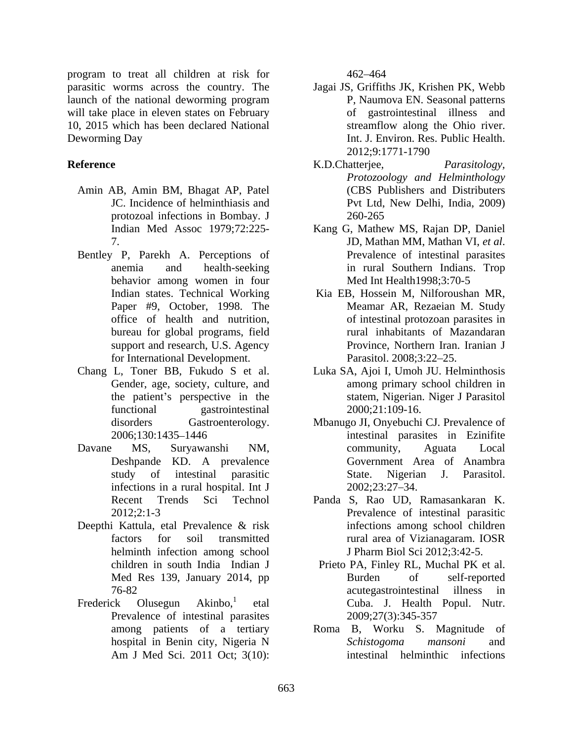program to treat all children at risk for parasitic worms across the country. The launch of the national deworming program **EX**, Naumova EN. Seasonal patterns will take place in eleven states on February 10, 2015 which has been declared National Deworming Day Int. J. Environ. Res. Public Health.

- Amin AB, Amin BM, Bhagat AP, Patel protozoal infections in Bombay. J
- behavior among women in four Med Int Health1998;3:70-5 bureau for global programs, field support and research, U.S. Agency for International Development. Parasitol. 2008;3:22–25.
- the patient's perspective in the
- infections in a rural hospital. Int J
- Deepthi Kattula, etal Prevalence & risk helminth infection among school
- Prevalence of intestinal parasites 2009;27(3):345-357

462 464

- Jagai JS, Griffiths JK, Krishen PK, Webb P, Naumova EN. Seasonal patterns of gastrointestinal illness and streamflow along the Ohio river. 2012;9:1771-1790
- **Reference Reference Reference Reference Reference Reference Reference Reference Reference Reference Reference Reference Reference Reference Reference Reference Reference Reference Refer** JC. Incidence of helminthiasis and **P**vt Ltd, New Delhi, India, 2009) K.D.Chatterjee, *Parasitology, Protozoology and Helminthology* (CBS Publishers and Distributers Pvt Ltd, New Delhi, India, 2009) 260-265
	- Indian Med Assoc 1979;72:225- Kang G, Mathew MS, Rajan DP, Daniel 7. <br>Bentley P, Parekh A. Perceptions of The Prevalence of intestinal parasites anemia and health-seeking in rural Southern Indians. Trop JD, Mathan MM, Mathan VI, *et al*. Prevalence of intestinal parasites Med Int Health1998;3:70-5
		- Indian states. Technical Working Kia EB, Hossein M, Nilforoushan MR, Paper #9, October, 1998. The Meamar AR, Rezaeian M. Study office of health and nutrition, of intestinal protozoan parasites in rural inhabitants of Mazandaran Province, Northern Iran. Iranian J Parasitol. 2008;3:22–25.
	- Chang L, Toner BB, Fukudo S et al. Luka SA, Ajoi I, Umoh JU. Helminthosis Gender, age, society, culture, and among primary school children in functional gastrointestinal 2000;21:109-16. statem, Nigerian. Niger J Parasitol 2000;21:109-16.
	- disorders Gastroenterology. Mbanugo JI, Onyebuchi CJ. Prevalence of 2006;130:1435 1446 intestinal parasites in Ezinifite Davane MS, Suryawanshi NM, Deshpande KD. A prevalence study of intestinal parasitic community, Aguata Local Government Area of Anambra State. Nigerian J. Parasitol. 2002;23:27 34.
		- Recent Trends Sci Technol Panda S, Rao UD, Ramasankaran K. 2012;2:1-3 Prevalence of intestinal parasitic factors for soil transmitted **the rural area of Vizianagaram**. IOSR infections among school children rural area of Vizianagaram. IOSR J Pharm Biol Sci 2012;3:42-5.
	- children in south India Indian J Prieto PA, Finley RL, Muchal PK et al. Med Res 139, January 2014, pp 76-82 acutegastrointestinal illness in Frederick Olusegun Akinbo,<sup>1</sup> etal Cuba. J. Health Popul. Nutr. Burden of self-reported acutegastrointestinal illness in 2009;27(3):345-357
		- among patients of a tertiary Roma B, Worku S. Magnitude of hospital in Benin city, Nigeria N<br>Schistogoma mansoni and Am J Med Sci. 2011 Oct; 3(10): intestinal helminthic infections *Schistogoma mansoni* and intestinal helminthic infections